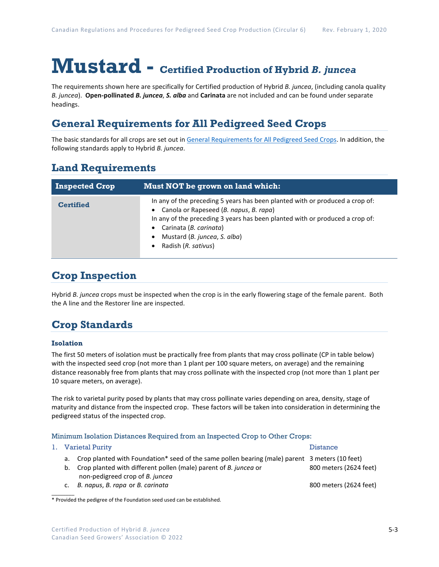# **Mustard - Certified Production of Hybrid** *B. juncea*

The requirements shown here are specifically for Certified production of Hybrid *B. juncea*, (including canola quality *B. juncea*). **Open-pollinated** *B. juncea*, *S. alba* and **Carinata** are not included and can be found under separate headings.

## **General Requirements for All Pedigreed Seed Crops**

The basic standards for all crops are set out i[n General Requirements for All Pedigreed Seed](https://seedgrowers.ca/wp-content/uploads/2020/01/GENERAL-REQUIREMENTS-ALL-CROPS_EN.pdf) Crops. In addition, the following standards apply to Hybrid *B. juncea*.

## **Land Requirements**

| <b>Inspected Crop</b> | Must NOT be grown on land which:                                                                                                                                                                                                                                                                       |
|-----------------------|--------------------------------------------------------------------------------------------------------------------------------------------------------------------------------------------------------------------------------------------------------------------------------------------------------|
| <b>Certified</b>      | In any of the preceding 5 years has been planted with or produced a crop of:<br>• Canola or Rapeseed (B. napus, B. rapa)<br>In any of the preceding 3 years has been planted with or produced a crop of:<br>Carinata (B. carinata)<br>Mustard (B. juncea, S. alba)<br>$\bullet$<br>Radish (R. sativus) |

## **Crop Inspection**

Hybrid *B. juncea* crops must be inspected when the crop is in the early flowering stage of the female parent. Both the A line and the Restorer line are inspected.

## **Crop Standards**

### **Isolation**

The first 50 meters of isolation must be practically free from plants that may cross pollinate (CP in table below) with the inspected seed crop (not more than 1 plant per 100 square meters, on average) and the remaining distance reasonably free from plants that may cross pollinate with the inspected crop (not more than 1 plant per 10 square meters, on average).

The risk to varietal purity posed by plants that may cross pollinate varies depending on area, density, stage of maturity and distance from the inspected crop. These factors will be taken into consideration in determining the pedigreed status of the inspected crop.

#### Minimum Isolation Distances Required from an Inspected Crop to Other Crops:

|  | 1. Varietal Purity                                                                                | <b>Distance</b>        |  |
|--|---------------------------------------------------------------------------------------------------|------------------------|--|
|  | a. Crop planted with Foundation* seed of the same pollen bearing (male) parent 3 meters (10 feet) |                        |  |
|  | b. Crop planted with different pollen (male) parent of B. junced or                               | 800 meters (2624 feet) |  |
|  | non-pedigreed crop of B. juncea                                                                   |                        |  |

c. *B. napus*, *B. rapa* or *B. carinata* 800 meters (2624 feet)

 $\mathcal{L}$ \* Provided the pedigree of the Foundation seed used can be established.